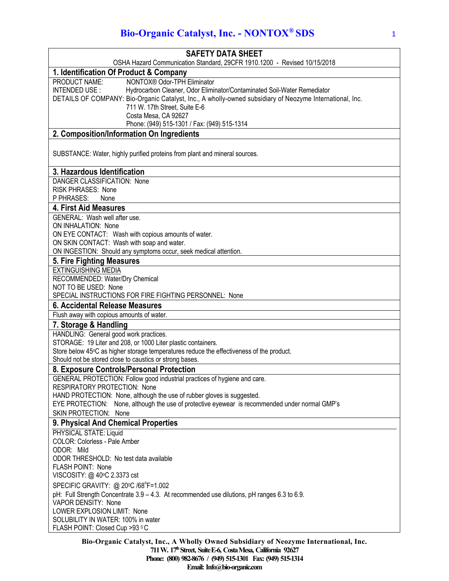# **Bio-Organic Catalyst, Inc. - NONTOX® SDS** 1

| <b>SAFETY DATA SHEET</b>                                                                                                                                                                                                                             |
|------------------------------------------------------------------------------------------------------------------------------------------------------------------------------------------------------------------------------------------------------|
| OSHA Hazard Communication Standard, 29CFR 1910.1200 - Revised 10/15/2018                                                                                                                                                                             |
| 1. Identification Of Product & Company                                                                                                                                                                                                               |
| NONTOX® Odor-TPH Eliminator<br>PRODUCT NAME:<br>INTENDED USE:<br>Hydrocarbon Cleaner, Odor Eliminator/Contaminated Soil-Water Remediator<br>DETAILS OF COMPANY: Bio-Organic Catalyst, Inc., A wholly-owned subsidiary of Neozyme International, Inc. |
| 711 W. 17th Street, Suite E-6<br>Costa Mesa, CA 92627                                                                                                                                                                                                |
| Phone: (949) 515-1301 / Fax: (949) 515-1314                                                                                                                                                                                                          |
| 2. Composition/Information On Ingredients                                                                                                                                                                                                            |
| SUBSTANCE: Water, highly purified proteins from plant and mineral sources.                                                                                                                                                                           |
| 3. Hazardous Identification                                                                                                                                                                                                                          |
| DANGER CLASSIFICATION: None                                                                                                                                                                                                                          |
| <b>RISK PHRASES: None</b>                                                                                                                                                                                                                            |
| P PHRASES:<br>None                                                                                                                                                                                                                                   |
| <b>4. First Aid Measures</b><br>GENERAL: Wash well after use.                                                                                                                                                                                        |
| ON INHALATION: None                                                                                                                                                                                                                                  |
| ON EYE CONTACT: Wash with copious amounts of water.                                                                                                                                                                                                  |
| ON SKIN CONTACT: Wash with soap and water.                                                                                                                                                                                                           |
| ON INGESTION: Should any symptoms occur, seek medical attention.                                                                                                                                                                                     |
| 5. Fire Fighting Measures                                                                                                                                                                                                                            |
| <b>EXTINGUISHING MEDIA</b>                                                                                                                                                                                                                           |
| RECOMMENDED: Water/Dry Chemical                                                                                                                                                                                                                      |
| NOT TO BE USED: None<br>SPECIAL INSTRUCTIONS FOR FIRE FIGHTING PERSONNEL: None                                                                                                                                                                       |
| 6. Accidental Release Measures                                                                                                                                                                                                                       |
| Flush away with copious amounts of water.                                                                                                                                                                                                            |
| 7. Storage & Handling                                                                                                                                                                                                                                |
| HANDLING: General good work practices.                                                                                                                                                                                                               |
| STORAGE: 19 Liter and 208, or 1000 Liter plastic containers.                                                                                                                                                                                         |
| Store below 45°C as higher storage temperatures reduce the effectiveness of the product.                                                                                                                                                             |
| Should not be stored close to caustics or strong bases.                                                                                                                                                                                              |
| 8. Exposure Controls/Personal Protection                                                                                                                                                                                                             |
| GENERAL PROTECTION: Follow good industrial practices of hygiene and care.                                                                                                                                                                            |
| <b>RESPIRATORY PROTECTION: None</b><br>HAND PROTECTION: None, although the use of rubber gloves is suggested.                                                                                                                                        |
| EYE PROTECTION: None, although the use of protective eyewear is recommended under normal GMP's                                                                                                                                                       |
| <b>SKIN PROTECTION: None</b>                                                                                                                                                                                                                         |
| 9. Physical And Chemical Properties                                                                                                                                                                                                                  |
| PHYSICAL STATE: Liquid                                                                                                                                                                                                                               |
| COLOR: Colorless - Pale Amber                                                                                                                                                                                                                        |
| ODOR: Mild                                                                                                                                                                                                                                           |
| ODOR THRESHOLD: No test data available                                                                                                                                                                                                               |
| FLASH POINT: None                                                                                                                                                                                                                                    |
| VISCOSITY: @ 40°C 2.3373 cst                                                                                                                                                                                                                         |
| SPECIFIC GRAVITY: @ 20°C /68°F=1.002                                                                                                                                                                                                                 |
| pH: Full Strength Concentrate 3.9 - 4.3. At recommended use dilutions, pH ranges 6.3 to 6.9.                                                                                                                                                         |
| VAPOR DENSITY: None<br>LOWER EXPLOSION LIMIT: None                                                                                                                                                                                                   |
| SOLUBILITY IN WATER: 100% in water                                                                                                                                                                                                                   |
| FLASH POINT: Closed Cup >93 °C                                                                                                                                                                                                                       |
|                                                                                                                                                                                                                                                      |

**Bio-Organic Catalyst, Inc., A Wholly Owned Subsidiary of Neozyme International, Inc. 711 W. 17thStreet, SuiteE-6, CostaMesa, California 92627 Phone: (800) 982-8676 / (949) 515-1301 Fax: (949) 515-1314** Email: Info@bio-organic.com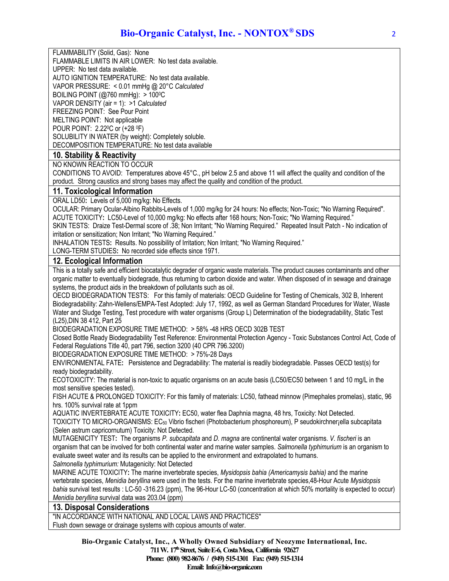FLAMMABILITY (Solid, Gas): None

FLAMMABLE LIMITS IN AIR LOWER: No test data available.

UPPER: No test data available.

AUTO IGNITION TEMPERATURE: No test data available.

VAPOR PRESSURE: < 0.01 mmHg @ 20°C *Calculated*

BOILING POINT (@760 mmHg): > 1000C

VAPOR DENSITY (air = 1): >1 *Calculated*

FREEZING POINT: See Pour Point

MELTING POINT: Not applicable

POUR POINT: 2.220C or (+28 0F)

SOLUBILITY IN WATER (by weight): Completely soluble.

DECOMPOSITION TEMPERATURE: No test data available

# **10. Stability & Reactivity**

NO KNOWN REACTION TO OCCUR

CONDITIONS TO AVOID: Temperatures above 45°C., pH below 2.5 and above 11 will affect the quality and condition of the product. Strong caustics and strong bases may affect the quality and condition of the product.

#### **11. Toxicological Information**

ORAL LD50**:** Levels of 5,000 mg/kg: No Effects.

OCULAR: Primary Ocular-Albino Rabbits-Levels of 1,000 mg/kg for 24 hours: No effects; Non-Toxic; "No Warning Required". ACUTE TOXICITY**:** LC50-Level of 10,000 mg/kg: No effects after 168 hours; Non-Toxic; "No Warning Required."

SKIN TESTS: Draize Test-Dermal score of .38; Non Irritant; "No Warning Required." Repeated Insult Patch - No indication of irritation or sensitization; Non Irritant; "No Warning Required."

INHALATION TESTS**:** Results. No possibility of Irritation; Non Irritant; "No Warning Required."

LONG-TERM STUDIES**:** No recorded side effects since 1971.

## **12. Ecological Information**

This is a totally safe and efficient biocatalytic degrader of organic waste materials. The product causes contaminants and other organic matter to eventually biodegrade, thus returning to carbon dioxide and water. When disposed of in sewage and drainage systems, the product aids in the breakdown of pollutants such as oil.

OECD BIODEGRADATION TESTS: For this family of materials: OECD Guideline for Testing of Chemicals, 302 B, Inherent Biodegradability: Zahn-Wellens/EMPA-Test Adopted: July 17, 1992, as well as German Standard Procedures for Water, Waste Water and Sludge Testing, Test procedure with water organisms (Group L) Determination of the biodegradability, Static Test (L25),DIN 38 412, Part 25

BIODEGRADATION EXPOSURE TIME METHOD: > 58% -48 HRS OECD 302B TEST

Closed Bottle Ready Biodegradability Test Reference: Environmental Protection Agency - Toxic Substances Control Act, Code of Federal Regulations Title 40, part 796, section 3200 (40 CPR 796.3200)

BIODEGRADATION EXPOSURE TIME METHOD: > 75%-28 Days

ENVIRONMENTAL FATE**:** Persistence and Degradability: The material is readily biodegradable. Passes OECD test(s) for ready biodegradability.

ECOTOXICITY: The material is non-toxic to aquatic organisms on an acute basis (LC50/EC50 between 1 and 10 mg/L in the most sensitive species tested).

FISH ACUTE & PROLONGED TOXICITY: For this family of materials: LC50, fathead minnow (Pimephales promelas), static, 96 hrs. 100% survival rate at 1ppm

AQUATIC INVERTEBRATE ACUTE TOXICITY**:** EC50, water flea Daphnia magna, 48 hrs, Toxicity: Not Detected. TOXICITY TO MICRO-ORGANISMS: EC50 Vibrio fischeri (Photobacterium phosphoreum), P seudokirchner¡ella subcapitata (Selen astrum capricornutum) Toxicity: Not Detected.

MUTAGENICITY TEST**:** The organisms *P. subcapitata* and *D. magna* are continental water organisms. *V. fischeri* is an organism that can be involved for both continental water and marine water samples. *Salmonella typhimurium* is an organism to evaluate sweet water and its results can be applied to the environment and extrapolated to humans.

*Salmonella typhimurium:* Mutagenicity: Not Detected

MARINE ACUTE TOXICITY**:** The marine invertebrate species, *Mysidopsis bahia (Americamysis bahia)* and the marine vertebrate species, *Menidia beryllina* were used in the tests. For the marine invertebrate species,48-Hour Acute *Mysidopsis bahia* survival test results : LC-50 -316.23 (ppm), The 96-Hour LC-50 (concentration at which 50% mortality is expected to occur) *Menidia beryllina* survival data was 203.04 (ppm)

## **13. Disposal Considerations**

"IN ACCORDANCE WITH NATIONAL AND LOCAL LAWS AND PRACTICES" Flush down sewage or drainage systems with copious amounts of water.

> **Bio-Organic Catalyst, Inc., A Wholly Owned Subsidiary of Neozyme International, Inc. 711 W. 17thStreet, SuiteE-6, CostaMesa, California 92627 Phone: (800) 982-8676 / (949) 515-1301 Fax: (949) 515-1314 Email:** Info@bio-organic.com